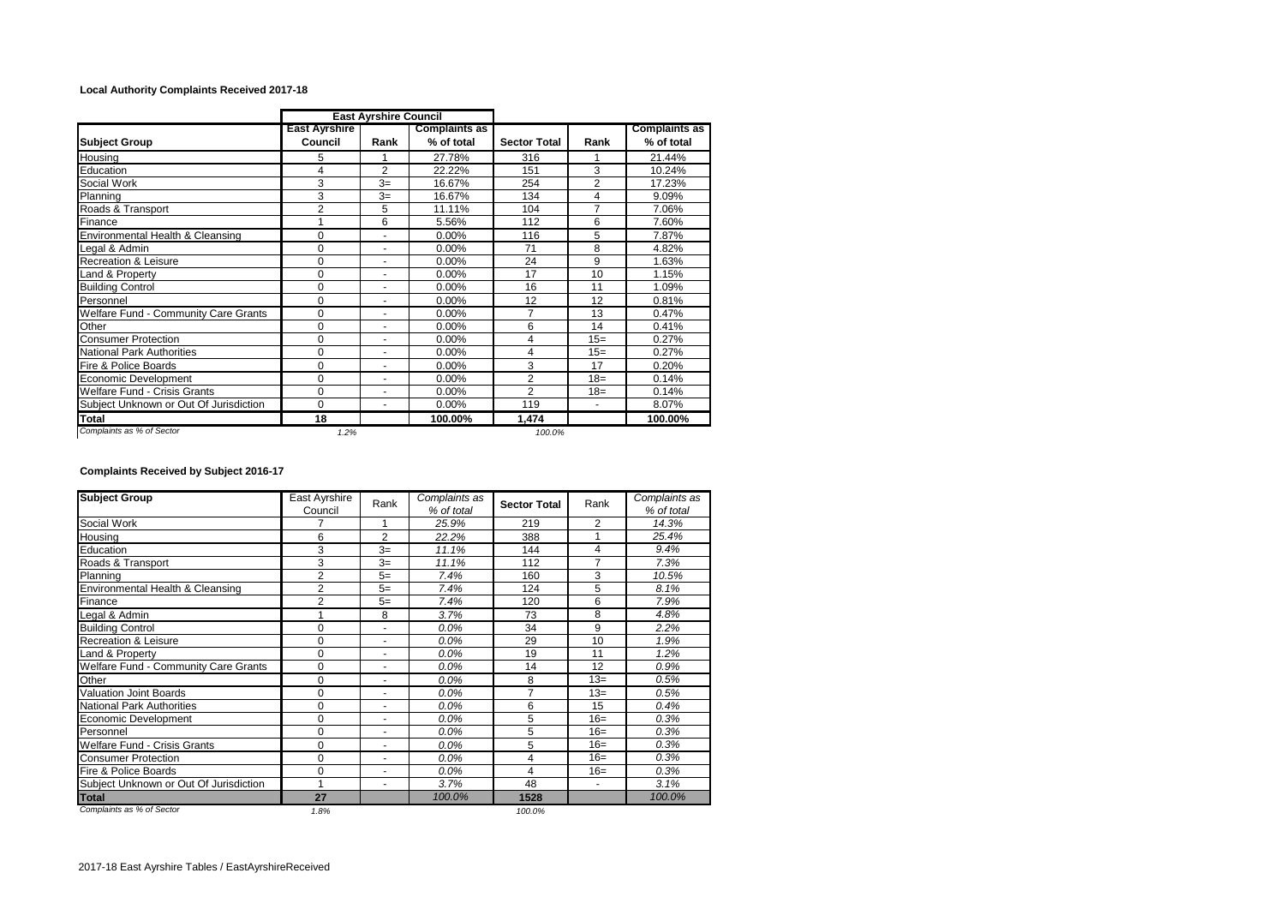## **Local Authority Complaints Received 2017-18**

|                                        | <b>East Ayrshire Council</b>    |                          |                                    |                     |                          |                                    |
|----------------------------------------|---------------------------------|--------------------------|------------------------------------|---------------------|--------------------------|------------------------------------|
| <b>Subject Group</b>                   | <b>East Ayrshire</b><br>Council | Rank                     | <b>Complaints as</b><br>% of total | <b>Sector Total</b> | Rank                     | <b>Complaints as</b><br>% of total |
| Housing                                | 5                               |                          | 27.78%                             | 316                 |                          | 21.44%                             |
| Education                              | 4                               | $\overline{2}$           | 22.22%                             | 151                 | 3                        | 10.24%                             |
| Social Work                            | 3                               | $3=$                     | 16.67%                             | 254                 | $\overline{2}$           | 17.23%                             |
| Planning                               | 3                               | $3=$                     | 16.67%                             | 134                 | 4                        | 9.09%                              |
| Roads & Transport                      | $\overline{2}$                  | 5                        | 11.11%                             | 104                 | 7                        | 7.06%                              |
| Finance                                | 1                               | 6                        | 5.56%                              | 112                 | 6                        | 7.60%                              |
| Environmental Health & Cleansing       | 0                               |                          | 0.00%                              | 116                 | 5                        | 7.87%                              |
| Legal & Admin                          | 0                               |                          | 0.00%                              | 71                  | 8                        | 4.82%                              |
| <b>Recreation &amp; Leisure</b>        | 0                               | ٠                        | 0.00%                              | 24                  | 9                        | 1.63%                              |
| Land & Property                        | 0                               |                          | 0.00%                              | 17                  | 10                       | 1.15%                              |
| <b>Building Control</b>                | 0                               | ٠                        | 0.00%                              | 16                  | 11                       | 1.09%                              |
| Personnel                              | 0                               |                          | 0.00%                              | 12                  | 12                       | 0.81%                              |
| Welfare Fund - Community Care Grants   | 0                               |                          | 0.00%                              | 7                   | 13                       | 0.47%                              |
| Other                                  | 0                               |                          | 0.00%                              | 6                   | 14                       | 0.41%                              |
| <b>Consumer Protection</b>             | 0                               |                          | 0.00%                              | 4                   | $15=$                    | 0.27%                              |
| <b>National Park Authorities</b>       | 0                               | ٠                        | 0.00%                              | 4                   | $15=$                    | 0.27%                              |
| Fire & Police Boards                   | $\Omega$                        | ٠                        | 0.00%                              | 3                   | 17                       | 0.20%                              |
| Economic Development                   | 0                               | ٠                        | 0.00%                              | $\overline{2}$      | $18=$                    | 0.14%                              |
| Welfare Fund - Crisis Grants           | 0                               | ٠                        | 0.00%                              | $\overline{2}$      | $18=$                    | 0.14%                              |
| Subject Unknown or Out Of Jurisdiction | $\Omega$                        | $\overline{\phantom{a}}$ | 0.00%                              | 119                 | $\overline{\phantom{a}}$ | 8.07%                              |
| Total                                  | 18                              |                          | 100.00%                            | 1,474               |                          | 100.00%                            |
| Complaints as % of Sector              | 1.2%                            |                          |                                    | 100.0%              |                          |                                    |

## **Complaints Received by Subject 2016-17**

| <b>Subject Group</b>                   | East Ayrshire   |                | Complaints as | <b>Sector Total</b> |                | Complaints as |
|----------------------------------------|-----------------|----------------|---------------|---------------------|----------------|---------------|
|                                        | Rank<br>Council |                | % of total    |                     | Rank           | % of total    |
| Social Work                            |                 | 1              | 25.9%         | 219                 | 2              | 14.3%         |
| Housing                                | 6               | $\overline{2}$ | 22.2%         | 388                 | 1              | 25.4%         |
| Education                              | 3               | $3=$           | 11.1%         | 144                 | 4              | 9.4%          |
| Roads & Transport                      | 3               | $3=$           | 11.1%         | 112                 | $\overline{7}$ | 7.3%          |
| Planning                               | $\overline{2}$  | $5=$           | 7.4%          | 160                 | 3              | 10.5%         |
| Environmental Health & Cleansing       | $\overline{2}$  | $5=$           | 7.4%          | 124                 | 5              | 8.1%          |
| Finance                                | $\overline{2}$  | $5=$           | 7.4%          | 120                 | 6              | 7.9%          |
| Legal & Admin                          | 1               | 8              | 3.7%          | 73                  | 8              | 4.8%          |
| <b>Building Control</b>                | $\Omega$        | ä,             | 0.0%          | 34                  | 9              | 2.2%          |
| <b>Recreation &amp; Leisure</b>        | $\Omega$        | ٠              | 0.0%          | 29                  | 10             | 1.9%          |
| Land & Property                        | $\Omega$        | ٠              | 0.0%          | 19                  | 11             | 1.2%          |
| Welfare Fund - Community Care Grants   | $\Omega$        | ٠              | 0.0%          | 14                  | 12             | 0.9%          |
| Other                                  | $\Omega$        | ٠              | 0.0%          | 8                   | $13=$          | 0.5%          |
| Valuation Joint Boards                 | $\Omega$        | ٠              | 0.0%          | $\overline{7}$      | $13=$          | 0.5%          |
| National Park Authorities              | $\Omega$        | ٠              | 0.0%          | 6                   | 15             | 0.4%          |
| Economic Development                   | $\Omega$        | ٠              | 0.0%          | 5                   | $16=$          | 0.3%          |
| Personnel                              | $\Omega$        | ٠              | 0.0%          | 5                   | $16=$          | 0.3%          |
| Welfare Fund - Crisis Grants           | $\Omega$        | ٠              | 0.0%          | 5                   | $16=$          | 0.3%          |
| <b>Consumer Protection</b>             | $\Omega$        | ٠              | 0.0%          | 4                   | $16=$          | 0.3%          |
| Fire & Police Boards                   | $\Omega$        | ٠              | 0.0%          | 4                   | $16=$          | 0.3%          |
| Subject Unknown or Out Of Jurisdiction | 1               | ä,             | 3.7%          | 48                  | $\blacksquare$ | 3.1%          |
| <b>Total</b>                           | 27              |                | 100.0%        | 1528                |                | 100.0%        |
| Complaints as % of Sector              | 1.8%            |                |               | 100.0%              |                |               |